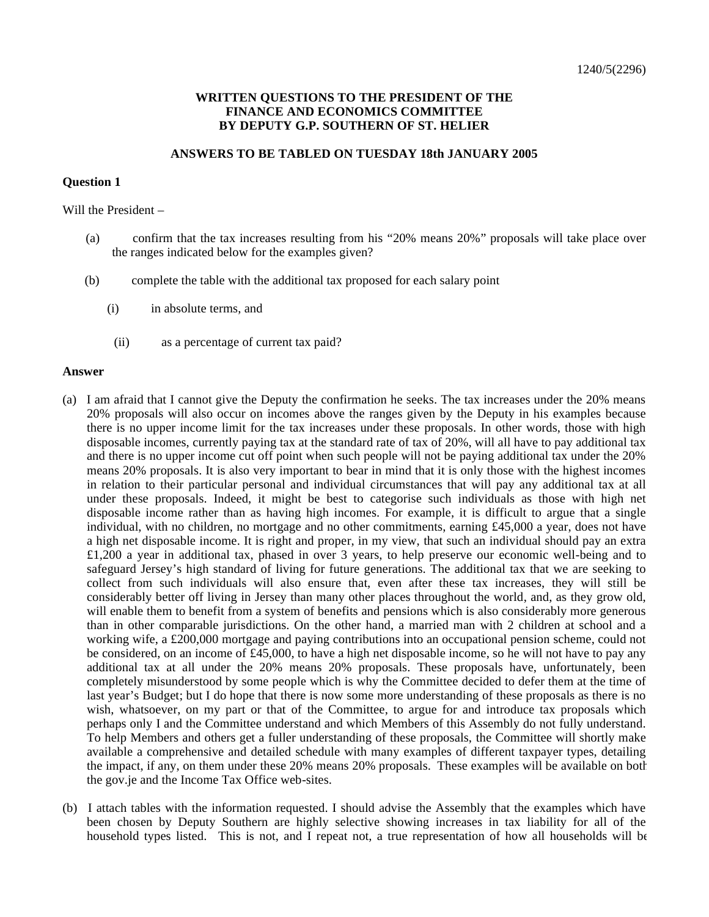# **WRITTEN QUESTIONS TO THE PRESIDENT OF THE FINANCE AND ECONOMICS COMMITTEE BY DEPUTY G.P. SOUTHERN OF ST. HELIER**

# **ANSWERS TO BE TABLED ON TUESDAY 18th JANUARY 2005**

### **Question 1**

Will the President –

- (a) confirm that the tax increases resulting from his "20% means 20%" proposals will take place over the ranges indicated below for the examples given?
- (b) complete the table with the additional tax proposed for each salary point
	- (i) in absolute terms, and
	- (ii) as a percentage of current tax paid?

#### **Answer**

- (a) I am afraid that I cannot give the Deputy the confirmation he seeks. The tax increases under the 20% means 20% proposals will also occur on incomes above the ranges given by the Deputy in his examples because there is no upper income limit for the tax increases under these proposals. In other words, those with high disposable incomes, currently paying tax at the standard rate of tax of 20%, will all have to pay additional tax and there is no upper income cut off point when such people will not be paying additional tax under the 20% means 20% proposals. It is also very important to bear in mind that it is only those with the highest incomes in relation to their particular personal and individual circumstances that will pay any additional tax at all under these proposals. Indeed, it might be best to categorise such individuals as those with high net disposable income rather than as having high incomes. For example, it is difficult to argue that a single individual, with no children, no mortgage and no other commitments, earning £45,000 a year, does not have a high net disposable income. It is right and proper, in my view, that such an individual should pay an extra £1,200 a year in additional tax, phased in over 3 years, to help preserve our economic well-being and to safeguard Jersey's high standard of living for future generations. The additional tax that we are seeking to collect from such individuals will also ensure that, even after these tax increases, they will still be considerably better off living in Jersey than many other places throughout the world, and, as they grow old, will enable them to benefit from a system of benefits and pensions which is also considerably more generous than in other comparable jurisdictions. On the other hand, a married man with 2 children at school and a working wife, a £200,000 mortgage and paying contributions into an occupational pension scheme, could not be considered, on an income of £45,000, to have a high net disposable income, so he will not have to pay any additional tax at all under the 20% means 20% proposals. These proposals have, unfortunately, been completely misunderstood by some people which is why the Committee decided to defer them at the time of last year's Budget; but I do hope that there is now some more understanding of these proposals as there is no wish, whatsoever, on my part or that of the Committee, to argue for and introduce tax proposals which perhaps only I and the Committee understand and which Members of this Assembly do not fully understand. To help Members and others get a fuller understanding of these proposals, the Committee will shortly make available a comprehensive and detailed schedule with many examples of different taxpayer types, detailing the impact, if any, on them under these 20% means 20% proposals. These examples will be available on both the gov.je and the Income Tax Office web-sites.
- (b) I attach tables with the information requested. I should advise the Assembly that the examples which have been chosen by Deputy Southern are highly selective showing increases in tax liability for all of the household types listed. This is not, and I repeat not, a true representation of how all households will be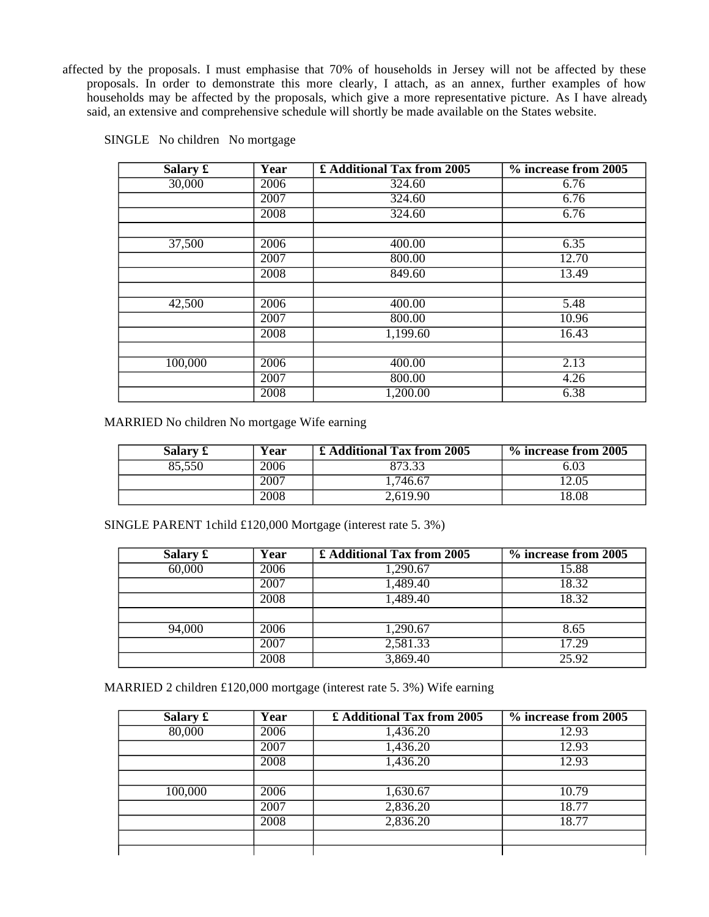affected by the proposals. I must emphasise that 70% of households in Jersey will not be affected by these proposals. In order to demonstrate this more clearly, I attach, as an annex, further examples of how households may be affected by the proposals, which give a more representative picture. As I have already said, an extensive and comprehensive schedule will shortly be made available on the States website.

| Salary £ | Year | £ Additional Tax from 2005 | % increase from 2005 |
|----------|------|----------------------------|----------------------|
| 30,000   | 2006 | 324.60                     | 6.76                 |
|          | 2007 | 324.60                     | 6.76                 |
|          | 2008 | 324.60                     | 6.76                 |
|          |      |                            |                      |
| 37,500   | 2006 | 400.00                     | 6.35                 |
|          | 2007 | 800.00                     | 12.70                |
|          | 2008 | 849.60                     | 13.49                |
|          |      |                            |                      |
| 42,500   | 2006 | 400.00                     | 5.48                 |
|          | 2007 | 800.00                     | 10.96                |
|          | 2008 | 1,199.60                   | 16.43                |
|          |      |                            |                      |
| 100,000  | 2006 | 400.00                     | 2.13                 |
|          | 2007 | 800.00                     | 4.26                 |
|          | 2008 | 1,200.00                   | 6.38                 |

SINGLE No children No mortgage

MARRIED No children No mortgage Wife earning

| Salary £ | Year | £ Additional Tax from 2005 | % increase from 2005 |
|----------|------|----------------------------|----------------------|
| 85.550   | 2006 | 873.33                     | 6.03                 |
|          | 2007 | .746.67                    | 12.05                |
|          | 2008 | 2,619.90                   | 18.08                |

SINGLE PARENT 1child £120,000 Mortgage (interest rate 5. 3%)

| Salary $\mathbf f$ | Year | £ Additional Tax from 2005 | % increase from 2005 |
|--------------------|------|----------------------------|----------------------|
| 60,000             | 2006 | 1,290.67                   | 15.88                |
|                    | 2007 | 1,489.40                   | 18.32                |
|                    | 2008 | 1,489.40                   | 18.32                |
|                    |      |                            |                      |
| 94,000             | 2006 | 1,290.67                   | 8.65                 |
|                    | 2007 | 2,581.33                   | 17.29                |
|                    | 2008 | 3,869.40                   | 25.92                |

MARRIED 2 children £120,000 mortgage (interest rate 5. 3%) Wife earning

| Salary £ | Year | £ Additional Tax from 2005 | % increase from 2005 |
|----------|------|----------------------------|----------------------|
| 80,000   | 2006 | 1,436.20                   | 12.93                |
|          | 2007 | 1,436.20                   | 12.93                |
|          | 2008 | 1,436.20                   | 12.93                |
|          |      |                            |                      |
| 100,000  | 2006 | 1,630.67                   | 10.79                |
|          | 2007 | 2,836.20                   | 18.77                |
|          | 2008 | 2,836.20                   | 18.77                |
|          |      |                            |                      |
|          |      |                            |                      |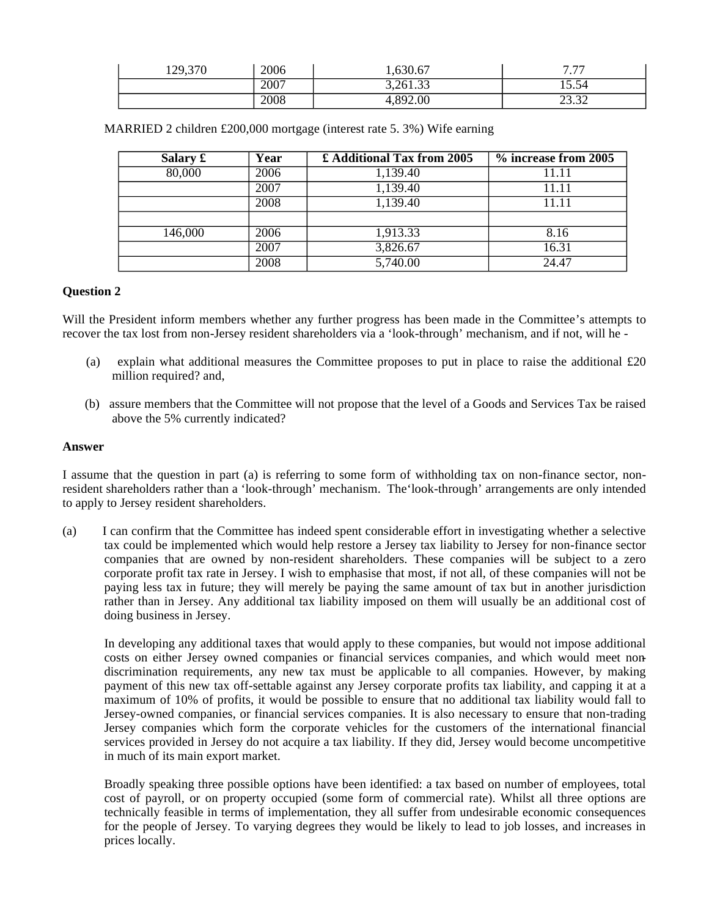| 129,370 | 2006 | 1,630.67 | 777<br>.        |
|---------|------|----------|-----------------|
|         | 2007 | 3,261.33 | 15.54           |
|         | 2008 | 892.00   | າາ າາ<br>ے تہ ک |

| Salary $\pounds$ | Year | £ Additional Tax from 2005 | % increase from 2005 |
|------------------|------|----------------------------|----------------------|
| 80,000           | 2006 | 1,139.40                   | 11.11                |
|                  | 2007 | 1,139.40                   | 11.11                |
|                  | 2008 | 1,139.40                   | 1.11                 |
|                  |      |                            |                      |
| 146,000          | 2006 | 1,913.33                   | 8.16                 |
|                  | 2007 | 3,826.67                   | 16.31                |
|                  | 2008 | 5,740.00                   | 24.47                |

MARRIED 2 children £200,000 mortgage (interest rate 5. 3%) Wife earning

# **Question 2**

Will the President inform members whether any further progress has been made in the Committee's attempts to recover the tax lost from non-Jersey resident shareholders via a 'look-through' mechanism, and if not, will he -

- (a) explain what additional measures the Committee proposes to put in place to raise the additional £20 million required? and,
- (b) assure members that the Committee will not propose that the level of a Goods and Services Tax be raised above the 5% currently indicated?

# **Answer**

I assume that the question in part (a) is referring to some form of withholding tax on non-finance sector, nonresident shareholders rather than a 'look-through' mechanism. The'look-through' arrangements are only intended to apply to Jersey resident shareholders.

(a) I can confirm that the Committee has indeed spent considerable effort in investigating whether a selective tax could be implemented which would help restore a Jersey tax liability to Jersey for non-finance sector companies that are owned by non-resident shareholders. These companies will be subject to a zero corporate profit tax rate in Jersey. I wish to emphasise that most, if not all, of these companies will not be paying less tax in future; they will merely be paying the same amount of tax but in another jurisdiction rather than in Jersey. Any additional tax liability imposed on them will usually be an additional cost of doing business in Jersey.

In developing any additional taxes that would apply to these companies, but would not impose additional costs on either Jersey owned companies or financial services companies, and which would meet nondiscrimination requirements, any new tax must be applicable to all companies. However, by making payment of this new tax off-settable against any Jersey corporate profits tax liability, and capping it at a maximum of 10% of profits, it would be possible to ensure that no additional tax liability would fall to Jersey-owned companies, or financial services companies. It is also necessary to ensure that non-trading Jersey companies which form the corporate vehicles for the customers of the international financial services provided in Jersey do not acquire a tax liability. If they did, Jersey would become uncompetitive in much of its main export market.

Broadly speaking three possible options have been identified: a tax based on number of employees, total cost of payroll, or on property occupied (some form of commercial rate). Whilst all three options are technically feasible in terms of implementation, they all suffer from undesirable economic consequences for the people of Jersey. To varying degrees they would be likely to lead to job losses, and increases in prices locally.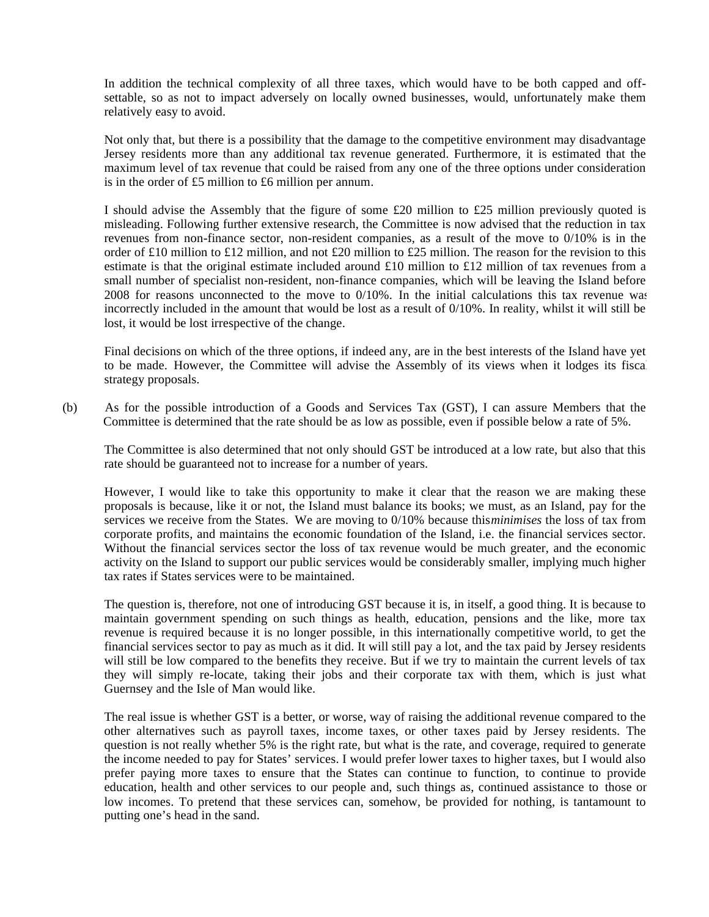In addition the technical complexity of all three taxes, which would have to be both capped and offsettable, so as not to impact adversely on locally owned businesses, would, unfortunately make them relatively easy to avoid.

Not only that, but there is a possibility that the damage to the competitive environment may disadvantage Jersey residents more than any additional tax revenue generated. Furthermore, it is estimated that the maximum level of tax revenue that could be raised from any one of the three options under consideration is in the order of £5 million to £6 million per annum.

I should advise the Assembly that the figure of some £20 million to £25 million previously quoted is misleading. Following further extensive research, the Committee is now advised that the reduction in tax revenues from non-finance sector, non-resident companies, as a result of the move to 0/10% is in the order of £10 million to £12 million, and not £20 million to £25 million. The reason for the revision to this estimate is that the original estimate included around £10 million to £12 million of tax revenues from a small number of specialist non-resident, non-finance companies, which will be leaving the Island before 2008 for reasons unconnected to the move to 0/10%. In the initial calculations this tax revenue was incorrectly included in the amount that would be lost as a result of 0/10%. In reality, whilst it will still be lost, it would be lost irrespective of the change.

Final decisions on which of the three options, if indeed any, are in the best interests of the Island have yet to be made. However, the Committee will advise the Assembly of its views when it lodges its fiscal strategy proposals.

(b) As for the possible introduction of a Goods and Services Tax (GST), I can assure Members that the Committee is determined that the rate should be as low as possible, even if possible below a rate of 5%.

The Committee is also determined that not only should GST be introduced at a low rate, but also that this rate should be guaranteed not to increase for a number of years.

However, I would like to take this opportunity to make it clear that the reason we are making these proposals is because, like it or not, the Island must balance its books; we must, as an Island, pay for the services we receive from the States. We are moving to 0/10% because this*minimises* the loss of tax from corporate profits, and maintains the economic foundation of the Island, i.e. the financial services sector. Without the financial services sector the loss of tax revenue would be much greater, and the economic activity on the Island to support our public services would be considerably smaller, implying much higher tax rates if States services were to be maintained.

The question is, therefore, not one of introducing GST because it is, in itself, a good thing. It is because to maintain government spending on such things as health, education, pensions and the like, more tax revenue is required because it is no longer possible, in this internationally competitive world, to get the financial services sector to pay as much as it did. It will still pay a lot, and the tax paid by Jersey residents will still be low compared to the benefits they receive. But if we try to maintain the current levels of tax they will simply re-locate, taking their jobs and their corporate tax with them, which is just what Guernsey and the Isle of Man would like.

The real issue is whether GST is a better, or worse, way of raising the additional revenue compared to the other alternatives such as payroll taxes, income taxes, or other taxes paid by Jersey residents. The question is not really whether 5% is the right rate, but what is the rate, and coverage, required to generate the income needed to pay for States' services. I would prefer lower taxes to higher taxes, but I would also prefer paying more taxes to ensure that the States can continue to function, to continue to provide education, health and other services to our people and, such things as, continued assistance to those on low incomes. To pretend that these services can, somehow, be provided for nothing, is tantamount to putting one's head in the sand.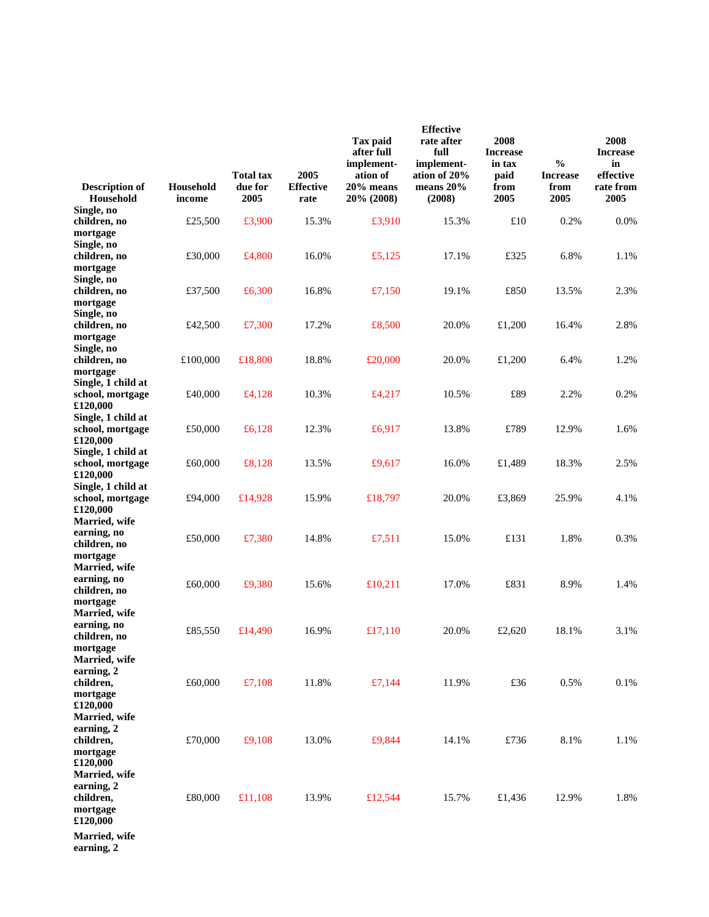| <b>Description of</b><br>Household                                           | Household<br>income | <b>Total tax</b><br>due for<br>2005 | 2005<br><b>Effective</b><br>rate | Tax paid<br>after full<br>implement-<br>ation of<br>20% means<br>20% (2008) | <b>Effective</b><br>rate after<br>full<br>implement-<br>ation of 20%<br>means 20%<br>(2008) | 2008<br><b>Increase</b><br>in tax<br>paid<br>from<br>2005 | $\frac{0}{0}$<br><b>Increase</b><br>from<br>2005 | 2008<br><b>Increase</b><br>in<br>effective<br>rate from<br>2005 |
|------------------------------------------------------------------------------|---------------------|-------------------------------------|----------------------------------|-----------------------------------------------------------------------------|---------------------------------------------------------------------------------------------|-----------------------------------------------------------|--------------------------------------------------|-----------------------------------------------------------------|
| Single, no<br>children, no                                                   | £25,500             | £3,900                              | 15.3%                            | £3,910                                                                      | 15.3%                                                                                       | £10                                                       | 0.2%                                             | 0.0%                                                            |
| mortgage                                                                     |                     |                                     |                                  |                                                                             |                                                                                             |                                                           |                                                  |                                                                 |
| Single, no<br>children, no<br>mortgage<br>Single, no                         | £30,000             | £4,800                              | 16.0%                            | £5,125                                                                      | 17.1%                                                                                       | £325                                                      | 6.8%                                             | 1.1%                                                            |
| children, no<br>mortgage                                                     | £37,500             | £6,300                              | 16.8%                            | £7,150                                                                      | 19.1%                                                                                       | £850                                                      | 13.5%                                            | 2.3%                                                            |
| Single, no<br>children, no<br>mortgage                                       | £42,500             | £7,300                              | 17.2%                            | £8,500                                                                      | 20.0%                                                                                       | £1,200                                                    | 16.4%                                            | 2.8%                                                            |
| Single, no<br>children, no<br>mortgage                                       | £100,000            | £18,800                             | 18.8%                            | £20,000                                                                     | 20.0%                                                                                       | £1,200                                                    | 6.4%                                             | 1.2%                                                            |
| Single, 1 child at<br>school, mortgage<br>£120,000                           | £40,000             | £4,128                              | 10.3%                            | £4,217                                                                      | 10.5%                                                                                       | £89                                                       | 2.2%                                             | 0.2%                                                            |
| Single, 1 child at<br>school, mortgage<br>£120,000                           | £50,000             | £6,128                              | 12.3%                            | £6,917                                                                      | 13.8%                                                                                       | £789                                                      | 12.9%                                            | 1.6%                                                            |
| Single, 1 child at<br>school, mortgage<br>£120,000                           | £60,000             | £8,128                              | 13.5%                            | £9,617                                                                      | 16.0%                                                                                       | £1,489                                                    | 18.3%                                            | 2.5%                                                            |
| Single, 1 child at<br>school, mortgage<br>£120,000                           | £94,000             | £14,928                             | 15.9%                            | £18,797                                                                     | 20.0%                                                                                       | £3,869                                                    | 25.9%                                            | 4.1%                                                            |
| Married, wife<br>earning, no<br>children, no<br>mortgage                     | £50,000             | £7,380                              | 14.8%                            | £7,511                                                                      | 15.0%                                                                                       | £131                                                      | 1.8%                                             | 0.3%                                                            |
| Married, wife<br>earning, no<br>children, no<br>mortgage                     | £60,000             | £9,380                              | 15.6%                            | £10,211                                                                     | 17.0%                                                                                       | £831                                                      | 8.9%                                             | 1.4%                                                            |
| Married, wife<br>earning, no<br>children, no<br>mortgage                     | £85,550             | £14,490                             | 16.9%                            | £17,110                                                                     | 20.0%                                                                                       | £2,620                                                    | 18.1%                                            | 3.1%                                                            |
| Married, wife<br>earning, 2<br>children,<br>mortgage                         | £60,000             | £7,108                              | 11.8%                            | £7,144                                                                      | 11.9%                                                                                       | £36                                                       | 0.5%                                             | 0.1%                                                            |
| £120,000<br>Married, wife<br>earning, 2<br>children,<br>mortgage<br>£120,000 | £70,000             | £9,108                              | 13.0%                            | £9,844                                                                      | 14.1%                                                                                       | £736                                                      | 8.1%                                             | 1.1%                                                            |
| Married, wife<br>earning, 2<br>children,<br>mortgage<br>£120,000             | £80,000             | £11,108                             | 13.9%                            | £12,544                                                                     | 15.7%                                                                                       | £1,436                                                    | 12.9%                                            | 1.8%                                                            |
| Married, wife                                                                |                     |                                     |                                  |                                                                             |                                                                                             |                                                           |                                                  |                                                                 |

**earning, 2**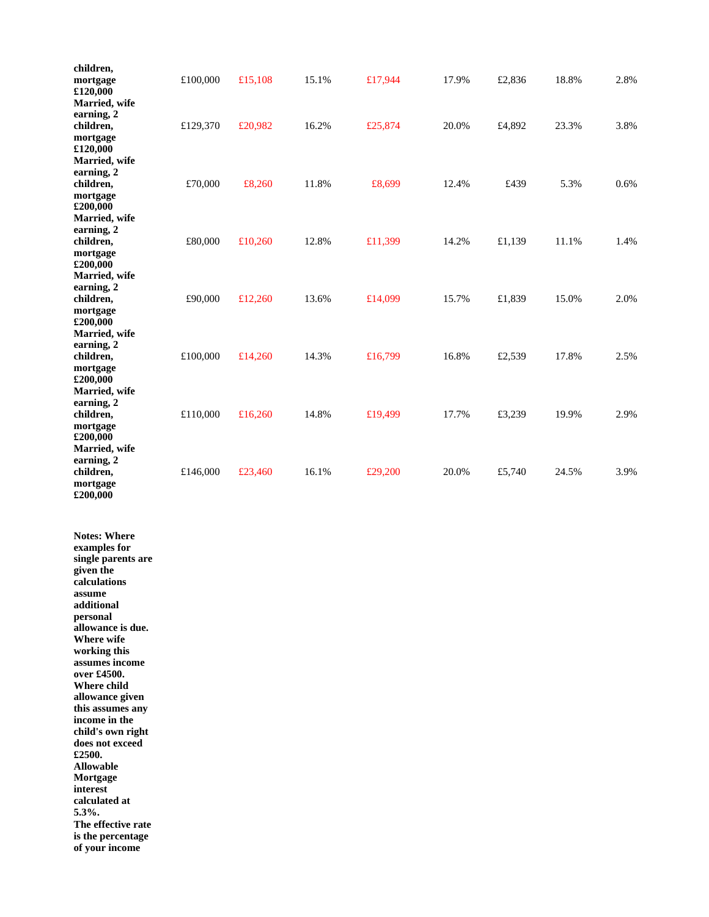| children,<br>mortgage<br>£120,000<br>Married, wife                                                                                                                                                                                                                                                                                                                                                                                                                         | £100,000 | £15,108 | 15.1% | £17,944 | 17.9% | £2,836 | 18.8% | 2.8% |
|----------------------------------------------------------------------------------------------------------------------------------------------------------------------------------------------------------------------------------------------------------------------------------------------------------------------------------------------------------------------------------------------------------------------------------------------------------------------------|----------|---------|-------|---------|-------|--------|-------|------|
| earning, 2<br>children,<br>mortgage                                                                                                                                                                                                                                                                                                                                                                                                                                        | £129,370 | £20,982 | 16.2% | £25,874 | 20.0% | £4,892 | 23.3% | 3.8% |
| £120,000<br>Married, wife<br>earning, 2<br>children,<br>mortgage                                                                                                                                                                                                                                                                                                                                                                                                           | £70,000  | £8,260  | 11.8% | £8,699  | 12.4% | £439   | 5.3%  | 0.6% |
| £200,000<br>Married, wife<br>earning, 2<br>children,<br>mortgage                                                                                                                                                                                                                                                                                                                                                                                                           | £80,000  | £10,260 | 12.8% | £11,399 | 14.2% | £1,139 | 11.1% | 1.4% |
| £200,000<br>Married, wife<br>earning, 2<br>children,<br>mortgage<br>£200,000                                                                                                                                                                                                                                                                                                                                                                                               | £90,000  | £12,260 | 13.6% | £14,099 | 15.7% | £1,839 | 15.0% | 2.0% |
| Married, wife<br>earning, 2<br>children,<br>mortgage<br>£200,000                                                                                                                                                                                                                                                                                                                                                                                                           | £100,000 | £14,260 | 14.3% | £16,799 | 16.8% | £2,539 | 17.8% | 2.5% |
| Married, wife<br>earning, 2<br>children,<br>mortgage<br>£200,000                                                                                                                                                                                                                                                                                                                                                                                                           | £110,000 | £16,260 | 14.8% | £19,499 | 17.7% | £3,239 | 19.9% | 2.9% |
| Married, wife<br>earning, 2<br>children,<br>mortgage<br>£200,000                                                                                                                                                                                                                                                                                                                                                                                                           | £146,000 | £23,460 | 16.1% | £29,200 | 20.0% | £5,740 | 24.5% | 3.9% |
| <b>Notes: Where</b><br>examples for<br>single parents are<br>given the<br>calculations<br>assume<br>additional<br>personal<br>allowance is due.<br>Where wife<br>working this<br>assumes income<br>over £4500.<br>Where child<br>allowance given<br>this assumes any<br>income in the<br>child's own right<br>does not exceed<br>£2500.<br><b>Allowable</b><br>Mortgage<br>interest<br>calculated at<br>5.3%.<br>The effective rate<br>is the percentage<br>of your income |          |         |       |         |       |        |       |      |